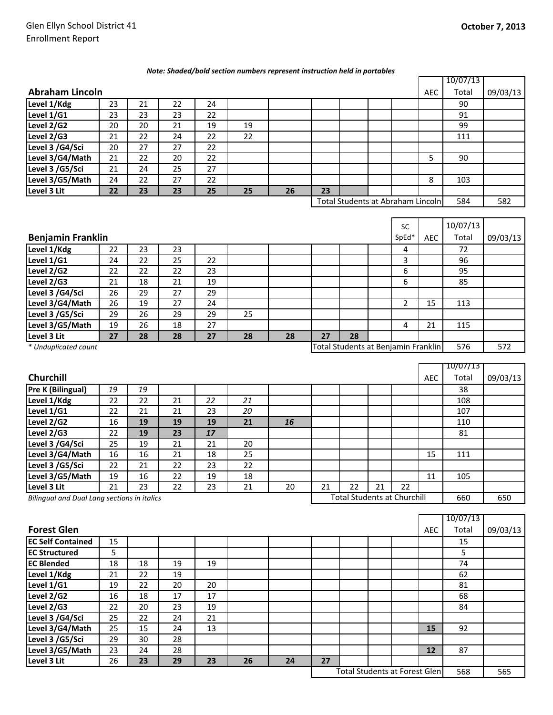## *Note: Shaded/bold section numbers represent instruction held in portables*

|                        |    |    |    |    |    |    |    |                                   |  |  |            | 10/07/13 |          |
|------------------------|----|----|----|----|----|----|----|-----------------------------------|--|--|------------|----------|----------|
| <b>Abraham Lincoln</b> |    |    |    |    |    |    |    |                                   |  |  | <b>AEC</b> | Total    | 09/03/13 |
| Level 1/Kdg            | 23 | 21 | 22 | 24 |    |    |    |                                   |  |  |            | 90       |          |
| Level 1/G1             | 23 | 23 | 23 | 22 |    |    |    |                                   |  |  |            | 91       |          |
| Level 2/G2             | 20 | 20 | 21 | 19 | 19 |    |    |                                   |  |  |            | 99       |          |
| Level 2/G3             | 21 | 22 | 24 | 22 | 22 |    |    |                                   |  |  |            | 111      |          |
| Level 3 /G4/Sci        | 20 | 27 | 27 | 22 |    |    |    |                                   |  |  |            |          |          |
| Level 3/G4/Math        | 21 | 22 | 20 | 22 |    |    |    |                                   |  |  | 5          | 90       |          |
| Level 3 /G5/Sci        | 21 | 24 | 25 | 27 |    |    |    |                                   |  |  |            |          |          |
| Level 3/G5/Math        | 24 | 22 | 27 | 22 |    |    |    |                                   |  |  | 8          | 103      |          |
| Level 3 Lit            | 22 | 23 | 23 | 25 | 25 | 26 | 23 |                                   |  |  |            |          |          |
|                        |    |    |    |    |    |    |    | Total Students at Abraham Lincoln |  |  |            | 584      | 582      |

|                                                             |    |    |    |    |    |    |    |    |     | <b>SC</b> |            | 10/07/13 |          |
|-------------------------------------------------------------|----|----|----|----|----|----|----|----|-----|-----------|------------|----------|----------|
| <b>Benjamin Franklin</b>                                    |    |    |    |    |    |    |    |    |     | SpEd*     | <b>AEC</b> | Total    | 09/03/13 |
| Level 1/Kdg                                                 | 22 | 23 | 23 |    |    |    |    |    |     | 4         |            | 72       |          |
| Level 1/G1                                                  | 24 | 22 | 25 | 22 |    |    |    |    |     | 3         |            | 96       |          |
| Level 2/G2                                                  | 22 | 22 | 22 | 23 |    |    |    |    |     | 6         |            | 95       |          |
| Level 2/G3                                                  | 21 | 18 | 21 | 19 |    |    |    |    |     | 6         |            | 85       |          |
| Level 3 /G4/Sci                                             | 26 | 29 | 27 | 29 |    |    |    |    |     |           |            |          |          |
| Level 3/G4/Math                                             | 26 | 19 | 27 | 24 |    |    |    |    |     | ∍         | 15         | 113      |          |
| Level 3 /G5/Sci                                             | 29 | 26 | 29 | 29 | 25 |    |    |    |     |           |            |          |          |
| Level 3/G5/Math                                             | 19 | 26 | 18 | 27 |    |    |    |    |     | 4         | 21         | 115      |          |
| Level 3 Lit                                                 | 27 | 28 | 28 | 27 | 28 | 28 | 27 | 28 |     |           |            |          |          |
| Total Students at Benjamin Franklin<br>* Unduplicated count |    |    |    |    |    |    |    |    | 576 | 572       |            |          |          |

|                                                    |    |    |    |    |    |    |                                    |    |    |    |            | 10/07/13 |          |
|----------------------------------------------------|----|----|----|----|----|----|------------------------------------|----|----|----|------------|----------|----------|
| <b>Churchill</b>                                   |    |    |    |    |    |    |                                    |    |    |    | <b>AEC</b> | Total    | 09/03/13 |
| Pre K (Bilingual)                                  | 19 | 19 |    |    |    |    |                                    |    |    |    |            | 38       |          |
| Level 1/Kdg                                        | 22 | 22 | 21 | 22 | 21 |    |                                    |    |    |    |            | 108      |          |
| Level 1/G1                                         | 22 | 21 | 21 | 23 | 20 |    |                                    |    |    |    |            | 107      |          |
| Level 2/G2                                         | 16 | 19 | 19 | 19 | 21 | 16 |                                    |    |    |    |            | 110      |          |
| Level 2/G3                                         | 22 | 19 | 23 | 17 |    |    |                                    |    |    |    |            | 81       |          |
| Level 3 /G4/Sci                                    | 25 | 19 | 21 | 21 | 20 |    |                                    |    |    |    |            |          |          |
| Level 3/G4/Math                                    | 16 | 16 | 21 | 18 | 25 |    |                                    |    |    |    | 15         | 111      |          |
| Level 3 /G5/Sci                                    | 22 | 21 | 22 | 23 | 22 |    |                                    |    |    |    |            |          |          |
| Level 3/G5/Math                                    | 19 | 16 | 22 | 19 | 18 |    |                                    |    |    |    | 11         | 105      |          |
| Level 3 Lit                                        | 21 | 23 | 22 | 23 | 21 | 20 | 21                                 | 22 | 21 | 22 |            |          |          |
| <b>Bilingual and Dual Lang sections in italics</b> |    |    |    |    |    |    | <b>Total Students at Churchill</b> |    |    |    | 660        | 650      |          |

|                          |    |    |    |    |    |    |    |                               |  |            | 10/07/13 |          |
|--------------------------|----|----|----|----|----|----|----|-------------------------------|--|------------|----------|----------|
| <b>Forest Glen</b>       |    |    |    |    |    |    |    |                               |  | <b>AEC</b> | Total    | 09/03/13 |
| <b>EC Self Contained</b> | 15 |    |    |    |    |    |    |                               |  |            | 15       |          |
| <b>EC Structured</b>     | 5  |    |    |    |    |    |    |                               |  |            | 5        |          |
| <b>EC Blended</b>        | 18 | 18 | 19 | 19 |    |    |    |                               |  |            | 74       |          |
| Level 1/Kdg              | 21 | 22 | 19 |    |    |    |    |                               |  |            | 62       |          |
| Level 1/G1               | 19 | 22 | 20 | 20 |    |    |    |                               |  |            | 81       |          |
| Level 2/G2               | 16 | 18 | 17 | 17 |    |    |    |                               |  |            | 68       |          |
| Level 2/G3               | 22 | 20 | 23 | 19 |    |    |    |                               |  |            | 84       |          |
| Level 3 /G4/Sci          | 25 | 22 | 24 | 21 |    |    |    |                               |  |            |          |          |
| Level 3/G4/Math          | 25 | 15 | 24 | 13 |    |    |    |                               |  | 15         | 92       |          |
| Level 3 /G5/Sci          | 29 | 30 | 28 |    |    |    |    |                               |  |            |          |          |
| Level 3/G5/Math          | 23 | 24 | 28 |    |    |    |    |                               |  | 12         | 87       |          |
| Level 3 Lit              | 26 | 23 | 29 | 23 | 26 | 24 | 27 |                               |  |            |          |          |
|                          |    |    |    |    |    |    |    | Total Students at Forest Glen |  |            | 568      | 565      |